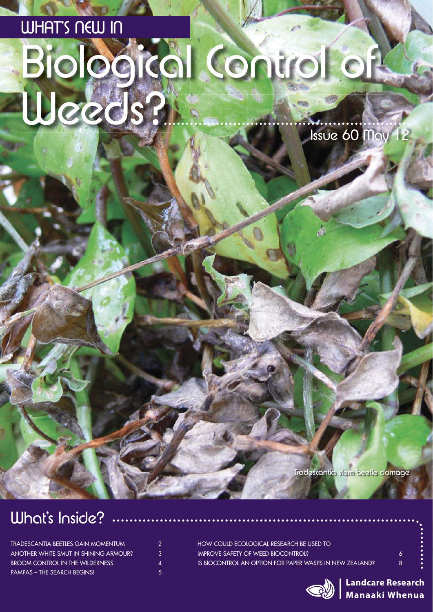# Biological Control of WHAT'S NEW IN Weeds? Issue 60 May 12

Tradescantia stem beetle damage

### What's Inside?

| TRADESCANTIA BEETLES GAIN MOMENTUM     | 2. |
|----------------------------------------|----|
| ANOTHER WHITE SMUT IN SHINING ARMOUR?  | 3. |
| <b>BROOM CONTROL IN THE WILDERNESS</b> | Δ  |
| <b>PAMPAS – THE SEARCH BEGINS!</b>     | 5. |

| 8. |
|----|
|    |



**Landcare Research Manaaki Whenua**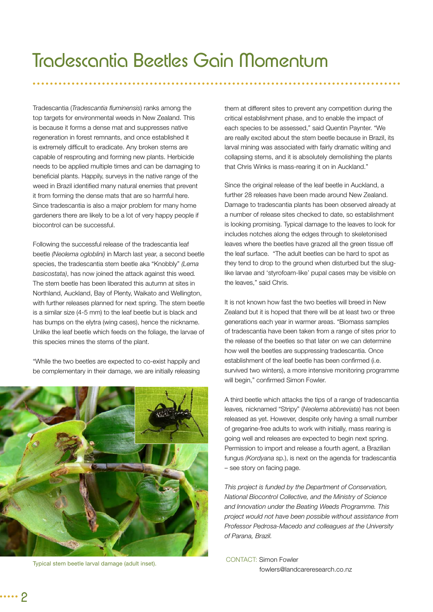Tradescantia (*Tradescantia fl uminensis*) ranks among the top targets for environmental weeds in New Zealand. This is because it forms a dense mat and suppresses native regeneration in forest remnants, and once established it is extremely difficult to eradicate. Any broken stems are capable of resprouting and forming new plants. Herbicide needs to be applied multiple times and can be damaging to beneficial plants. Happily, surveys in the native range of the weed in Brazil identified many natural enemies that prevent it from forming the dense mats that are so harmful here. Since tradescantia is also a major problem for many home gardeners there are likely to be a lot of very happy people if biocontrol can be successful.

Following the successful release of the tradescantia leaf beetle *(Neolema ogloblini)* in March last year, a second beetle species, the tradescantia stem beetle aka "Knobbly" *(Lema basicostata)*, has now joined the attack against this weed*.*  The stem beetle has been liberated this autumn at sites in Northland, Auckland, Bay of Plenty, Waikato and Wellington, with further releases planned for next spring. The stem beetle is a similar size (4-5 mm) to the leaf beetle but is black and has bumps on the elytra (wing cases), hence the nickname. Unlike the leaf beetle which feeds on the foliage, the larvae of this species mines the stems of the plant.

"While the two beetles are expected to co-exist happily and be complementary in their damage, we are initially releasing



Typical stem beetle larval damage (adult inset).

them at different sites to prevent any competition during the critical establishment phase, and to enable the impact of each species to be assessed," said Quentin Paynter. "We are really excited about the stem beetle because in Brazil, its larval mining was associated with fairly dramatic wilting and collapsing stems, and it is absolutely demolishing the plants that Chris Winks is mass-rearing it on in Auckland."

Since the original release of the leaf beetle in Auckland, a further 28 releases have been made around New Zealand. Damage to tradescantia plants has been observed already at a number of release sites checked to date, so establishment is looking promising. Typical damage to the leaves to look for includes notches along the edges through to skeletonised leaves where the beetles have grazed all the green tissue off the leaf surface. "The adult beetles can be hard to spot as they tend to drop to the ground when disturbed but the sluglike larvae and 'styrofoam-like' pupal cases may be visible on the leaves," said Chris.

It is not known how fast the two beetles will breed in New Zealand but it is hoped that there will be at least two or three generations each year in warmer areas. "Biomass samples of tradescantia have been taken from a range of sites prior to the release of the beetles so that later on we can determine how well the beetles are suppressing tradescantia. Once establishment of the leaf beetle has been confirmed (i.e. survived two winters), a more intensive monitoring programme will begin," confirmed Simon Fowler.

A third beetle which attacks the tips of a range of tradescantia leaves*,* nicknamed "Stripy" (*Neolema abbreviata*) has not been released as yet. However, despite only having a small number of gregarine-free adults to work with initially, mass rearing is going well and releases are expected to begin next spring. Permission to import and release a fourth agent, a Brazilian fungus *(Kordyana* sp.), is next on the agenda for tradescantia – see story on facing page.

*This project is funded by the Department of Conservation, National Biocontrol Collective, and the Ministry of Science and Innovation under the Beating Weeds Programme. This project would not have been possible without assistance from Professor Pedrosa-Macedo and colleagues at the University of Parana, Brazil.*

CONTACT: Simon Fowler fowlers@landcareresearch.co.nz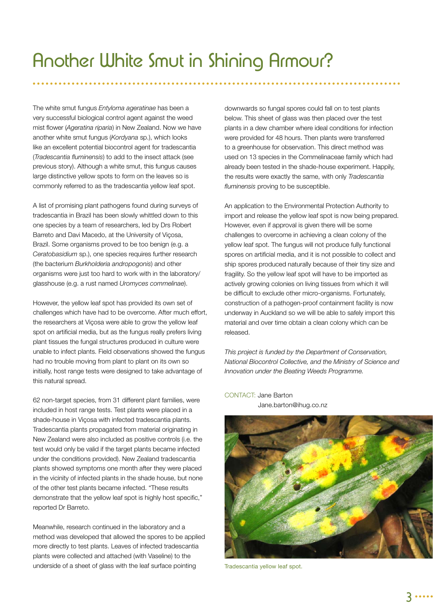The white smut fungus *Entyloma ageratinae* has been a very successful biological control agent against the weed mist flower (Ageratina riparia) in New Zealand. Now we have another white smut fungus (*Kordyana* sp.), which looks like an excellent potential biocontrol agent for tradescantia (*Tradescantia fluminensis*) to add to the insect attack (see previous story). Although a white smut, this fungus causes large distinctive yellow spots to form on the leaves so is commonly referred to as the tradescantia yellow leaf spot.

A list of promising plant pathogens found during surveys of tradescantia in Brazil has been slowly whittled down to this one species by a team of researchers, led by Drs Robert Barreto and Davi Macedo, at the University of Viçosa, Brazil. Some organisms proved to be too benign (e.g. a *Ceratobasidium* sp.), one species requires further research (the bacterium *Burkholderia andropogonis*) and other organisms were just too hard to work with in the laboratory/ glasshouse (e.g. a rust named *Uromyces commelinae*).

However, the yellow leaf spot has provided its own set of challenges which have had to be overcome. After much effort, the researchers at Viçosa were able to grow the yellow leaf spot on artificial media, but as the fungus really prefers living plant tissues the fungal structures produced in culture were unable to infect plants. Field observations showed the fungus had no trouble moving from plant to plant on its own so initially, host range tests were designed to take advantage of this natural spread.

62 non-target species, from 31 different plant families, were included in host range tests. Test plants were placed in a shade-house in Viçosa with infected tradescantia plants. Tradescantia plants propagated from material originating in New Zealand were also included as positive controls (i.e. the test would only be valid if the target plants became infected under the conditions provided). New Zealand tradescantia plants showed symptoms one month after they were placed in the vicinity of infected plants in the shade house, but none of the other test plants became infected. "These results demonstrate that the yellow leaf spot is highly host specific," reported Dr Barreto.

Meanwhile, research continued in the laboratory and a method was developed that allowed the spores to be applied more directly to test plants. Leaves of infected tradescantia plants were collected and attached (with Vaseline) to the underside of a sheet of glass with the leaf surface pointing

downwards so fungal spores could fall on to test plants below. This sheet of glass was then placed over the test plants in a dew chamber where ideal conditions for infection were provided for 48 hours. Then plants were transferred to a greenhouse for observation. This direct method was used on 13 species in the Commelinaceae family which had already been tested in the shade-house experiment. Happily, the results were exactly the same, with only *Tradescantia*  fluminensis proving to be susceptible.

An application to the Environmental Protection Authority to import and release the yellow leaf spot is now being prepared. However, even if approval is given there will be some challenges to overcome in achieving a clean colony of the yellow leaf spot. The fungus will not produce fully functional spores on artificial media, and it is not possible to collect and ship spores produced naturally because of their tiny size and fragility. So the yellow leaf spot will have to be imported as actively growing colonies on living tissues from which it will be difficult to exclude other micro-organisms. Fortunately, construction of a pathogen-proof containment facility is now underway in Auckland so we will be able to safely import this material and over time obtain a clean colony which can be released.

*This project is funded by the Department of Conservation, National Biocontrol Collective, and the Ministry of Science and Innovation under the Beating Weeds Programme.*

Tradescantia yellow leaf spot.

CONTACT: Jane Barton Jane.barton@ihug.co.nz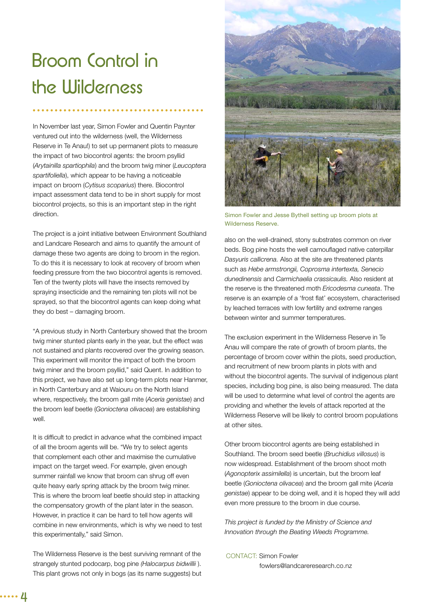### Broom Control in the Wilderness

In November last year, Simon Fowler and Quentin Paynter ventured out into the wilderness (well, the Wilderness Reserve in Te Anau!) to set up permanent plots to measure the impact of two biocontrol agents: the broom psyllid (*Arytainilla spartiophila*) and the broom twig miner (*Leucoptera spartifoliella*), which appear to be having a noticeable impact on broom (*Cytisus scoparius*) there. Biocontrol impact assessment data tend to be in short supply for most biocontrol projects, so this is an important step in the right direction.

The project is a joint initiative between Environment Southland and Landcare Research and aims to quantify the amount of damage these two agents are doing to broom in the region. To do this it is necessary to look at recovery of broom when feeding pressure from the two biocontrol agents is removed. Ten of the twenty plots will have the insects removed by spraying insecticide and the remaining ten plots will not be sprayed, so that the biocontrol agents can keep doing what they do best – damaging broom.

"A previous study in North Canterbury showed that the broom twig miner stunted plants early in the year, but the effect was not sustained and plants recovered over the growing season. This experiment will monitor the impact of both the broom twig miner and the broom psyllid," said Quent. In addition to this project, we have also set up long-term plots near Hanmer, in North Canterbury and at Waiouru on the North Island where, respectively, the broom gall mite (*Aceria genistae*) and the broom leaf beetle (*Gonioctena olivacea*) are establishing well.

It is difficult to predict in advance what the combined impact of all the broom agents will be. "We try to select agents that complement each other and maximise the cumulative impact on the target weed. For example, given enough summer rainfall we know that broom can shrug off even quite heavy early spring attack by the broom twig miner. This is where the broom leaf beetle should step in attacking the compensatory growth of the plant later in the season. However, in practice it can be hard to tell how agents will combine in new environments, which is why we need to test this experimentally," said Simon.

The Wilderness Reserve is the best surviving remnant of the strangely stunted podocarp, bog pine *(Halocarpus bidwillii* ). This plant grows not only in bogs (as its name suggests) but



Simon Fowler and Jesse Bythell setting up broom plots at Wilderness Reserve.

also on the well-drained, stony substrates common on river beds. Bog pine hosts the well camouflaged native caterpillar *Dasyuris callicrena.* Also at the site are threatened plants such as *Hebe armstrongii, Coprosma intertexta, Senecio dunedinensis* and *Carmichaelia crassicaulis.* Also resident at the reserve is the threatened moth *Ericodesma cuneata*. The reserve is an example of a 'frost flat' ecosystem, characterised by leached terraces with low fertility and extreme ranges between winter and summer temperatures.

The exclusion experiment in the Wilderness Reserve in Te Anau will compare the rate of growth of broom plants, the percentage of broom cover within the plots, seed production, and recruitment of new broom plants in plots with and without the biocontrol agents. The survival of indigenous plant species, including bog pine, is also being measured. The data will be used to determine what level of control the agents are providing and whether the levels of attack reported at the Wilderness Reserve will be likely to control broom populations at other sites.

Other broom biocontrol agents are being established in Southland. The broom seed beetle (*Bruchidius villosus*) is now widespread. Establishment of the broom shoot moth (*Agonopterix assimilella*) is uncertain, but the broom leaf beetle (*Gonioctena olivacea*) and the broom gall mite (*Aceria genistae*) appear to be doing well, and it is hoped they will add even more pressure to the broom in due course.

*This project is funded by the Ministry of Science and Innovation through the Beating Weeds Programme.*

CONTACT: Simon Fowler fowlers@landcareresearch.co.nz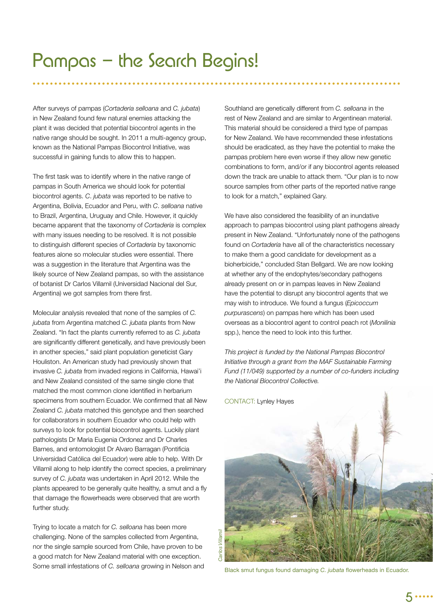After surveys of pampas (*Cortaderia selloana* and *C. jubata*) in New Zealand found few natural enemies attacking the plant it was decided that potential biocontrol agents in the native range should be sought. In 2011 a multi-agency group, known as the National Pampas Biocontrol Initiative, was successful in gaining funds to allow this to happen.

The first task was to identify where in the native range of pampas in South America we should look for potential biocontrol agents. *C*. *jubata* was reported to be native to Argentina, Bolivia, Ecuador and Peru, with *C*. *selloana* native to Brazil, Argentina, Uruguay and Chile. However, it quickly became apparent that the taxonomy of *Cortaderia* is complex with many issues needing to be resolved. It is not possible to distinguish different species of *Cortaderia* by taxonomic features alone so molecular studies were essential. There was a suggestion in the literature that Argentina was the likely source of New Zealand pampas, so with the assistance of botanist Dr Carlos Villamil (Universidad Nacional del Sur, Argentina) we got samples from there first.

Molecular analysis revealed that none of the samples of *C. jubata* from Argentina matched *C. jubata* plants from New Zealand. "In fact the plants currently referred to as *C. jubata* are significantly different genetically, and have previously been in another species," said plant population geneticist Gary Houliston. An American study had previously shown that invasive *C. jubata* from invaded regions in California, Hawai'i and New Zealand consisted of the same single clone that matched the most common clone identified in herbarium specimens from southern Ecuador. We confirmed that all New Zealand *C. jubata* matched this genotype and then searched for collaborators in southern Ecuador who could help with surveys to look for potential biocontrol agents. Luckily plant pathologists Dr Maria Eugenia Ordonez and Dr Charles Barnes, and entomologist Dr Alvaro Barragan (Pontificia Universidad Católica del Ecuador) were able to help. With Dr Villamil along to help identify the correct species, a preliminary survey of *C. jubata* was undertaken in April 2012. While the plants appeared to be generally quite healthy, a smut and a fly that damage the flowerheads were observed that are worth further study.

Trying to locate a match for *C. selloana* has been more challenging. None of the samples collected from Argentina, nor the single sample sourced from Chile, have proven to be a good match for New Zealand material with one exception. Some small infestations of *C. selloana* growing in Nelson and

Southland are genetically different from *C. selloana* in the rest of New Zealand and are similar to Argentinean material. This material should be considered a third type of pampas for New Zealand. We have recommended these infestations should be eradicated, as they have the potential to make the pampas problem here even worse if they allow new genetic combinations to form, and/or if any biocontrol agents released down the track are unable to attack them. "Our plan is to now source samples from other parts of the reported native range to look for a match," explained Gary.

We have also considered the feasibility of an inundative approach to pampas biocontrol using plant pathogens already present in New Zealand. "Unfortunately none of the pathogens found on *Cortaderia* have all of the characteristics necessary to make them a good candidate for development as a bioherbicide," concluded Stan Bellgard. We are now looking at whether any of the endophytes/secondary pathogens already present on or in pampas leaves in New Zealand have the potential to disrupt any biocontrol agents that we may wish to introduce. We found a fungus (*Epicoccum purpurascens*) on pampas here which has been used overseas as a biocontrol agent to control peach rot (*Monilinia* spp.), hence the need to look into this further.

*This project is funded by the National Pampas Biocontrol Initiative through a grant from the MAF Sustainable Farming Fund (11/049) supported by a number of co-funders including the National Biocontrol Collective.*

CONTACT: Lynley Hayes Carlos Villamil *Carlos Villamil*

Black smut fungus found damaging *C. jubata* flowerheads in Ecuador.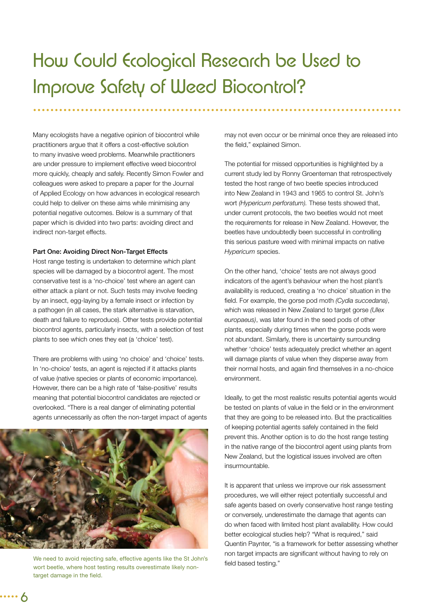### How Could Ecological Research be Used to Improve Safety of Weed Biocontrol?

Many ecologists have a negative opinion of biocontrol while practitioners argue that it offers a cost-effective solution to many invasive weed problems. Meanwhile practitioners are under pressure to implement effective weed biocontrol more quickly, cheaply and safely. Recently Simon Fowler and colleagues were asked to prepare a paper for the Journal of Applied Ecology on how advances in ecological research could help to deliver on these aims while minimising any potential negative outcomes. Below is a summary of that paper which is divided into two parts: avoiding direct and indirect non-target effects.

#### **Part One: Avoiding Direct Non-Target Effects**

Host range testing is undertaken to determine which plant species will be damaged by a biocontrol agent. The most conservative test is a 'no-choice' test where an agent can either attack a plant or not. Such tests may involve feeding by an insect, egg-laying by a female insect or infection by a pathogen (in all cases, the stark alternative is starvation, death and failure to reproduce). Other tests provide potential biocontrol agents, particularly insects, with a selection of test plants to see which ones they eat (a 'choice' test).

There are problems with using 'no choice' and 'choice' tests. In 'no-choice' tests, an agent is rejected if it attacks plants of value (native species or plants of economic importance). However, there can be a high rate of 'false-positive' results meaning that potential biocontrol candidates are rejected or overlooked. "There is a real danger of eliminating potential agents unnecessarily as often the non-target impact of agents



We need to avoid rejecting safe, effective agents like the St John's wort beetle, where host testing results overestimate likely nontarget damage in the field.

may not even occur or be minimal once they are released into the field," explained Simon.

The potential for missed opportunities is highlighted by a current study led by Ronny Groenteman that retrospectively tested the host range of two beetle species introduced into New Zealand in 1943 and 1965 to control St. John's wort *(Hypericum perforatum).* These tests showed that, under current protocols, the two beetles would not meet the requirements for release in New Zealand. However, the beetles have undoubtedly been successful in controlling this serious pasture weed with minimal impacts on native *Hypericum* species.

On the other hand, 'choice' tests are not always good indicators of the agent's behaviour when the host plant's availability is reduced, creating a 'no choice' situation in the field. For example, the gorse pod moth *(Cydia succedana)*, which was released in New Zealand to target gorse *(Ulex europaeus)*, was later found in the seed pods of other plants, especially during times when the gorse pods were not abundant. Similarly, there is uncertainty surrounding whether 'choice' tests adequately predict whether an agent will damage plants of value when they disperse away from their normal hosts, and again find themselves in a no-choice environment.

Ideally, to get the most realistic results potential agents would be tested on plants of value in the field or in the environment that they are going to be released into. But the practicalities of keeping potential agents safely contained in the field prevent this. Another option is to do the host range testing in the native range of the biocontrol agent using plants from New Zealand, but the logistical issues involved are often insurmountable.

It is apparent that unless we improve our risk assessment procedures, we will either reject potentially successful and safe agents based on overly conservative host range testing or conversely, underestimate the damage that agents can do when faced with limited host plant availability. How could better ecological studies help? "What is required," said Quentin Paynter, "is a framework for better assessing whether non target impacts are significant without having to rely on field based testing."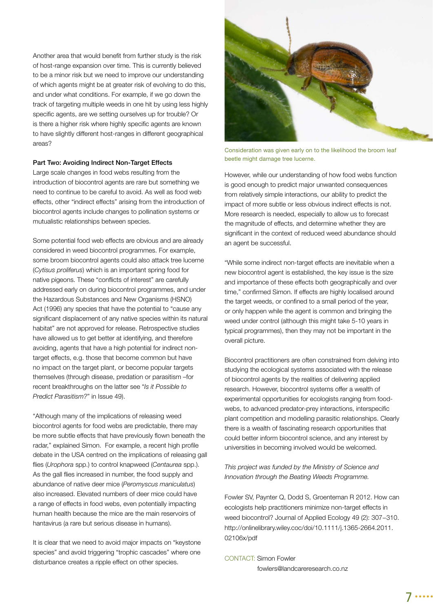Another area that would benefit from further study is the risk of host-range expansion over time. This is currently believed to be a minor risk but we need to improve our understanding of which agents might be at greater risk of evolving to do this, and under what conditions. For example, if we go down the track of targeting multiple weeds in one hit by using less highly specific agents, are we setting ourselves up for trouble? Or is there a higher risk where highly specific agents are known to have slightly different host-ranges in different geographical areas?

#### **Part Two: Avoiding Indirect Non-Target Effects**

Large scale changes in food webs resulting from the introduction of biocontrol agents are rare but something we need to continue to be careful to avoid. As well as food web effects, other "indirect effects" arising from the introduction of biocontrol agents include changes to pollination systems or mutualistic relationships between species.

Some potential food web effects are obvious and are already considered in weed biocontrol programmes. For example, some broom biocontrol agents could also attack tree lucerne (*Cytisus proliferus*) which is an important spring food for native pigeons. These "conflicts of interest" are carefully addressed early on during biocontrol programmes, and under the Hazardous Substances and New Organisms (HSNO) Act (1996) any species that have the potential to "cause any significant displacement of any native species within its natural habitat" are not approved for release. Retrospective studies have allowed us to get better at identifying, and therefore avoiding, agents that have a high potential for indirect nontarget effects, e.g. those that become common but have no impact on the target plant, or become popular targets themselves (through disease, predation or parasitism –for recent breakthroughs on the latter see "*Is it Possible to Predict Parasitism?*" in Issue 49).

"Although many of the implications of releasing weed biocontrol agents for food webs are predictable, there may be more subtle effects that have previously flown beneath the radar," explained Simon. For example, a recent high profile debate in the USA centred on the implications of releasing gall flies (Urophora spp.) to control knapweed (Centaurea spp.). As the gall flies increased in number, the food supply and abundance of native deer mice (*Peromyscus maniculatus*) also increased. Elevated numbers of deer mice could have a range of effects in food webs, even potentially impacting human health because the mice are the main reservoirs of hantavirus (a rare but serious disease in humans).

It is clear that we need to avoid major impacts on "keystone species" and avoid triggering "trophic cascades" where one disturbance creates a ripple effect on other species.



Consideration was given early on to the likelihood the broom leaf beetle might damage tree lucerne.

However, while our understanding of how food webs function is good enough to predict major unwanted consequences from relatively simple interactions, our ability to predict the impact of more subtle or less obvious indirect effects is not. More research is needed, especially to allow us to forecast the magnitude of effects, and determine whether they are significant in the context of reduced weed abundance should an agent be successful.

"While some indirect non-target effects are inevitable when a new biocontrol agent is established, the key issue is the size and importance of these effects both geographically and over time," confirmed Simon. If effects are highly localised around the target weeds, or confined to a small period of the year, or only happen while the agent is common and bringing the weed under control (although this might take 5-10 years in typical programmes), then they may not be important in the overall picture.

Biocontrol practitioners are often constrained from delving into studying the ecological systems associated with the release of biocontrol agents by the realities of delivering applied research. However, biocontrol systems offer a wealth of experimental opportunities for ecologists ranging from foodwebs, to advanced predator-prey interactions, interspecific plant competition and modelling parasitic relationships. Clearly there is a wealth of fascinating research opportunities that could better inform biocontrol science, and any interest by universities in becoming involved would be welcomed.

*This project was funded by the Ministry of Science and Innovation through the Beating Weeds Programme.*

Fowler SV, Paynter Q, Dodd S, Groenteman R 2012. How can ecologists help practitioners minimize non-target effects in weed biocontrol? Journal of Applied Ecology 49 (2): 307−310. http://onlinelibrary.wiley.coc/doi/10.1111/j.1365-2664.2011. 02106x/pdf

CONTACT: Simon Fowler fowlers@landcareresearch.co.nz